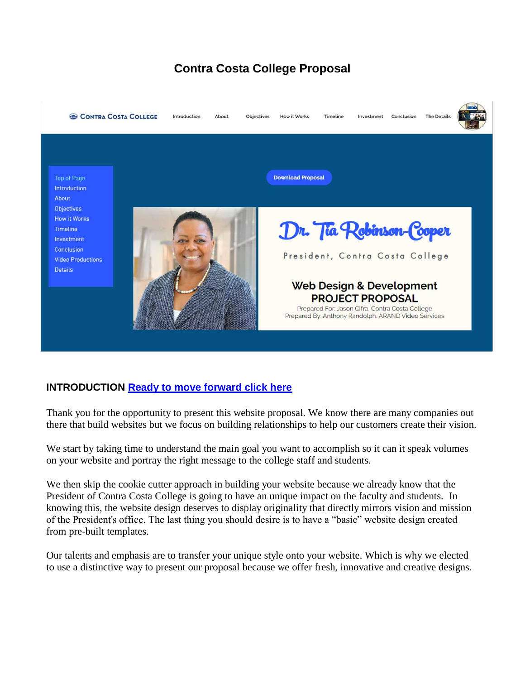# **Contra Costa College Proposal**



# **INTRODUCTION [Ready to move forward click here](#page-4-0)**

Thank you for the opportunity to present this website proposal. We know there are many companies out there that build websites but we focus on building relationships to help our customers create their vision.

We start by taking time to understand the main goal you want to accomplish so it can it speak volumes on your website and portray the right message to the college staff and students.

We then skip the cookie cutter approach in building your website because we already know that the President of Contra Costa College is going to have an unique impact on the faculty and students. In knowing this, the website design deserves to display originality that directly mirrors vision and mission of the President's office. The last thing you should desire is to have a "basic" website design created from pre-built templates.

Our talents and emphasis are to transfer your unique style onto your website. Which is why we elected to use a distinctive way to present our proposal because we offer fresh, innovative and creative designs.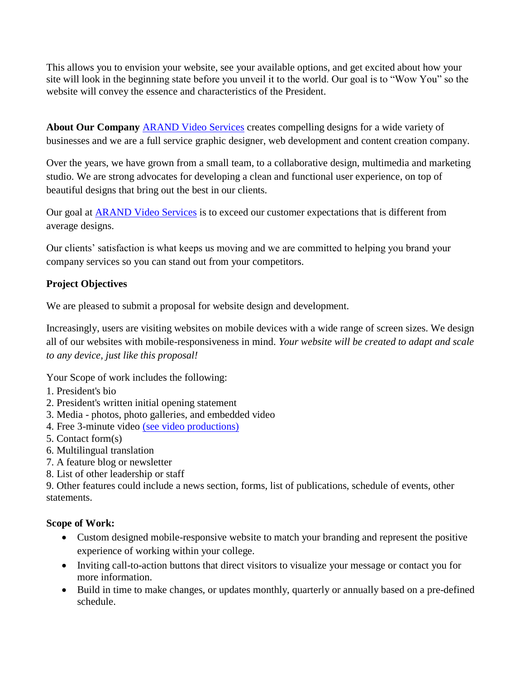This allows you to envision your website, see your available options, and get excited about how your site will look in the beginning state before you unveil it to the world. Our goal is to "Wow You" so the website will convey the essence and characteristics of the President.

**About Our Company [ARAND Video Services](http://www.arandvideo.net/) creates compelling designs for a wide variety of** businesses and we are a full service graphic designer, web development and content creation company.

Over the years, we have grown from a small team, to a collaborative design, multimedia and marketing studio. We are strong advocates for developing a clean and functional user experience, on top of beautiful designs that bring out the best in our clients.

Our goal at [ARAND Video Services](http://www.arandvideo.net/) is to exceed our customer expectations that is different from average designs.

Our clients' satisfaction is what keeps us moving and we are committed to helping you brand your company services so you can stand out from your competitors.

# **Project Objectives**

We are pleased to submit a proposal for website design and development.

Increasingly, users are visiting websites on mobile devices with a wide range of screen sizes. We design all of our websites with mobile-responsiveness in mind. *Your website will be created to adapt and scale to any device, just like this proposal!* 

Your Scope of work includes the following:

- 1. President's bio
- 2. President's written initial opening statement
- 3. Media photos, photo galleries, and embedded video
- 4. Free 3-minute video [\(see video productions\)](https://www.arandvideo.net/video-productions)
- 5. Contact form(s)
- 6. Multilingual translation
- 7. A feature blog or newsletter
- 8. List of other leadership or staff

9. Other features could include a news section, forms, list of publications, schedule of events, other statements.

# **Scope of Work:**

- Custom designed mobile-responsive website to match your branding and represent the positive experience of working within your college.
- Inviting call-to-action buttons that direct visitors to visualize your message or contact you for more information.
- Build in time to make changes, or updates monthly, quarterly or annually based on a pre-defined schedule.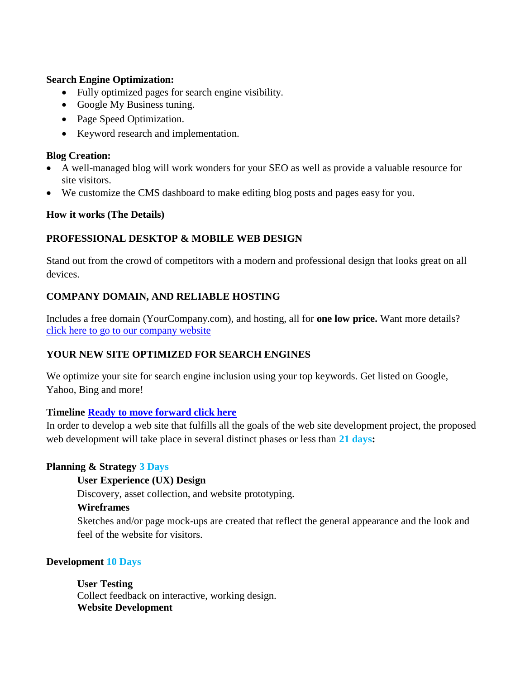#### **Search Engine Optimization:**

- Fully optimized pages for search engine visibility.
- Google My Business tuning.
- Page Speed Optimization.
- Keyword research and implementation.

## **Blog Creation:**

- A well-managed blog will work wonders for your SEO as well as provide a valuable resource for site visitors.
- We customize the CMS dashboard to make editing blog posts and pages easy for you.

## **How it works (The Details)**

# **PROFESSIONAL DESKTOP & MOBILE WEB DESIGN**

Stand out from the crowd of competitors with a modern and professional design that looks great on all devices.

# **COMPANY DOMAIN, AND RELIABLE HOSTING**

Includes a free domain (YourCompany.com), and hosting, all for **one low price.** Want more details? [click here to go to our company website](http://www.arandvideo.net/)

# **YOUR NEW SITE OPTIMIZED FOR SEARCH ENGINES**

We optimize your site for search engine inclusion using your top keywords. Get listed on Google, Yahoo, Bing and more!

## **Timeline [Ready to move forward click here](#page-4-0)**

In order to develop a web site that fulfills all the goals of the web site development project, the proposed web development will take place in several distinct phases or less than **21 days:**

## **Planning & Strategy 3 Days**

## **User Experience (UX) Design**

Discovery, asset collection, and website prototyping.

## **Wireframes**

Sketches and/or page mock-ups are created that reflect the general appearance and the look and feel of the website for visitors.

## **Development 10 Days**

**User Testing** 

Collect feedback on interactive, working design. **Website Development**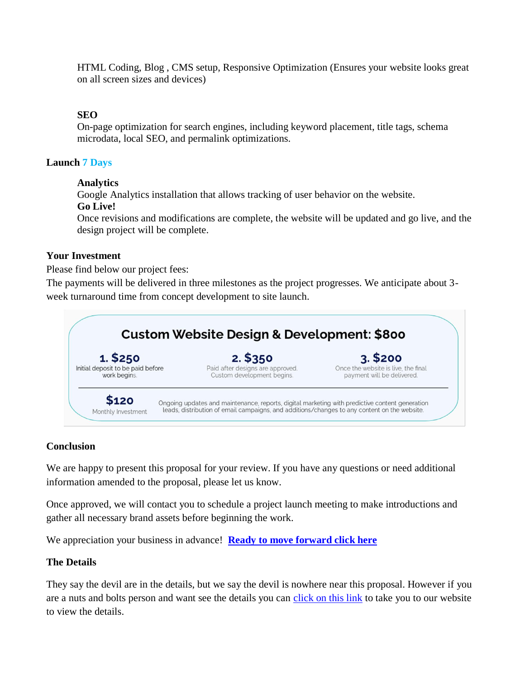HTML Coding, Blog , CMS setup, Responsive Optimization (Ensures your website looks great on all screen sizes and devices)

## **SEO**

On-page optimization for search engines, including keyword placement, title tags, schema microdata, local SEO, and permalink optimizations.

## **Launch 7 Days**

#### **Analytics**

Google Analytics installation that allows tracking of user behavior on the website. **Go Live!** 

Once revisions and modifications are complete, the website will be updated and go live, and the design project will be complete.

#### **Your Investment**

Please find below our project fees:

The payments will be delivered in three milestones as the project progresses. We anticipate about 3 week turnaround time from concept development to site launch.



## **Conclusion**

We are happy to present this proposal for your review. If you have any questions or need additional information amended to the proposal, please let us know.

Once approved, we will contact you to schedule a project launch meeting to make introductions and gather all necessary brand assets before beginning the work.

We appreciation your business in advance! **[Ready to move forward click here](#page-4-0)**

## **The Details**

They say the devil are in the details, but we say the devil is nowhere near this proposal. However if you are a nuts and bolts person and want see the details you can [click on this link](http://www.arandvideo.net/) to take you to our website to view the details.